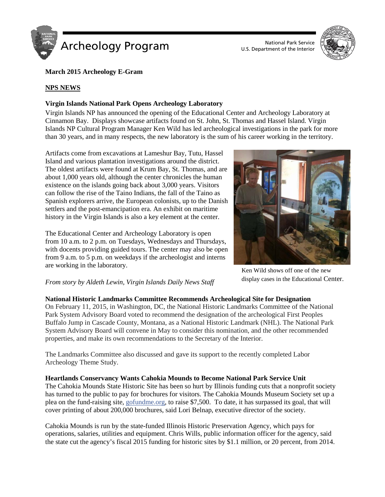



# **March 2015 Archeology E-Gram**

### **NPS NEWS**

### **Virgin Islands National Park Opens Archeology Laboratory**

Virgin Islands NP has announced the opening of the Educational Center and Archeology Laboratory at Cinnamon Bay. Displays showcase artifacts found on St. John, St. Thomas and Hassel Island. Virgin Islands NP Cultural Program Manager Ken Wild has led archeological investigations in the park for more than 30 years, and in many respects, the new laboratory is the sum of his career working in the territory.

Artifacts come from excavations at Lameshur Bay, Tutu, Hassel Island and various plantation investigations around the district. The oldest artifacts were found at Krum Bay, St. Thomas, and are about 1,000 years old, although the center chronicles the human existence on the islands going back about 3,000 years. Visitors can follow the rise of the Taino Indians, the fall of the Taino as Spanish explorers arrive, the European colonists, up to the Danish settlers and the post-emancipation era. An exhibit on maritime history in the Virgin Islands is also a key element at the center.

The Educational Center and Archeology Laboratory is open from 10 a.m. to 2 p.m. on Tuesdays, Wednesdays and Thursdays, with docents providing guided tours. The center may also be open from 9 a.m. to 5 p.m. on weekdays if the archeologist and interns are working in the laboratory.



Ken Wild shows off one of the new display cases in the Educational Center.

### *From story by Aldeth Lewin, Virgin Islands Daily News Staff*

### **National Historic Landmarks Committee Recommends Archeological Site for Designation**

On February 11, 2015, in Washington, DC, the National Historic Landmarks Committee of the National Park System Advisory Board voted to recommend the designation of the archeological First Peoples Buffalo Jump in Cascade County, Montana, as a National Historic Landmark (NHL). The National Park System Advisory Board will convene in May to consider this nomination, and the other recommended properties, and make its own recommendations to the Secretary of the Interior.

The Landmarks Committee also discussed and gave its support to the recently completed Labor Archeology Theme Study.

### **Heartlands Conservancy Wants Cahokia Mounds to Become National Park Service Unit**

The Cahokia Mounds State Historic Site has been so hurt by Illinois funding cuts that a nonprofit society has turned to the public to pay for brochures for visitors. The Cahokia Mounds Museum Society set up a plea on the fund-raising site, [gofundme.org,](http://www.gofundme.com/cahokiamounds) to raise \$7,500. To date, it has surpassed its goal, that will cover printing of about 200,000 brochures, said Lori Belnap, executive director of the society.

Cahokia Mounds is run by the state-funded Illinois Historic Preservation Agency, which pays for operations, salaries, utilities and equipment. Chris Wills, public information officer for the agency, said the state cut the agency's fiscal 2015 funding for historic sites by \$1.1 million, or 20 percent, from 2014.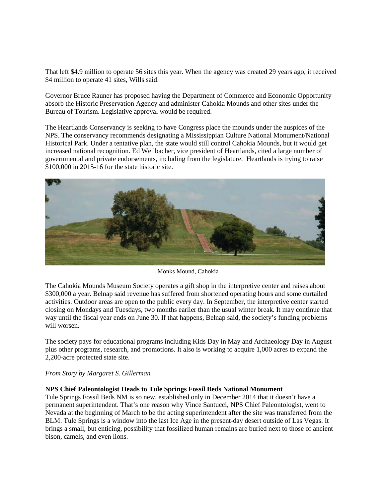That left \$4.9 million to operate 56 sites this year. When the agency was created 29 years ago, it received \$4 million to operate 41 sites, Wills said.

Governor Bruce Rauner has proposed having the Department of Commerce and Economic Opportunity absorb the Historic Preservation Agency and administer Cahokia Mounds and other sites under the Bureau of Tourism. Legislative approval would be required.

The Heartlands Conservancy is seeking to have Congress place the mounds under the auspices of the NPS. The conservancy recommends designating a Mississippian Culture National Monument/National Historical Park. Under a tentative plan, the state would still control Cahokia Mounds, but it would get increased national recognition. Ed Weilbacher, vice president of Heartlands, cited a large number of governmental and private endorsements, including from the legislature. Heartlands is trying to raise \$100,000 in 2015-16 for the state historic site.



Monks Mound, Cahokia

The Cahokia Mounds Museum Society operates a gift shop in the interpretive center and raises about \$300,000 a year. Belnap said revenue has suffered from shortened operating hours and some curtailed activities. Outdoor areas are open to the public every day. In September, the interpretive center started closing on Mondays and Tuesdays, two months earlier than the usual winter break. It may continue that way until the fiscal year ends on June 30. If that happens, Belnap said, the society's funding problems will worsen.

The society pays for educational programs including Kids Day in May and Archaeology Day in August plus other programs, research, and promotions. It also is working to acquire 1,000 acres to expand the 2,200-acre protected state site.

### *From Story by Margaret S. Gillerman*

### **NPS Chief Paleontologist Heads to Tule Springs Fossil Beds National Monument**

Tule Springs Fossil Beds NM is so new, established only in December 2014 that it doesn't have a permanent superintendent. That's one reason why Vince Santucci, NPS Chief Paleontologist, went to Nevada at the beginning of March to be the acting superintendent after the site was transferred from the BLM. Tule Springs is a window into the last Ice Age in the present-day desert outside of Las Vegas. It brings a small, but enticing, possibility that fossilized human remains are buried next to those of ancient bison, camels, and even lions.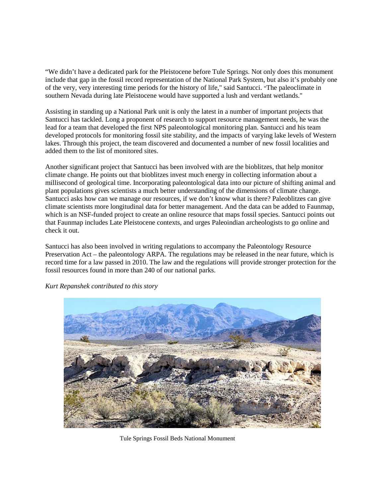"We didn't have a dedicated park for the Pleistocene before Tule Springs. Not only does this monument include that gap in the fossil record representation of the National Park System, but also it's probably one of the very, very interesting time periods for the history of life," said Santucci. "The paleoclimate in southern Nevada during late Pleistocene would have supported a lush and verdant wetlands."

Assisting in standing up a National Park unit is only the latest in a number of important projects that Santucci has tackled. Long a proponent of research to support resource management needs, he was the lead for a team that developed the first NPS paleontological monitoring plan. Santucci and his team developed protocols for monitoring fossil site stability, and the impacts of varying lake levels of Western lakes. Through this project, the team discovered and documented a number of new fossil localities and added them to the list of monitored sites.

Another significant project that Santucci has been involved with are the bioblitzes, that help monitor climate change. He points out that bioblitzes invest much energy in collecting information about a millisecond of geological time. Incorporating paleontological data into our picture of shifting animal and plant populations gives scientists a much better understanding of the dimensions of climate change. Santucci asks how can we manage our resources, if we don't know what is there? Paleoblitzes can give climate scientists more longitudinal data for better management. And the data can be added to Faunmap, which is an NSF-funded project to create an online resource that maps fossil species. Santucci points out that Faunmap includes Late Pleistocene contexts, and urges Paleoindian archeologists to go online and check it out.

Santucci has also been involved in writing regulations to accompany the Paleontology Resource Preservation Act – the paleontology ARPA. The regulations may be released in the near future, which is record time for a law passed in 2010. The law and the regulations will provide stronger protection for the fossil resources found in more than 240 of our national parks.



*[Kurt Repanshek](http://www.nationalparkstraveler.com/users/kurt-repanshek) contributed to this story*

Tule Springs Fossil Beds National Monument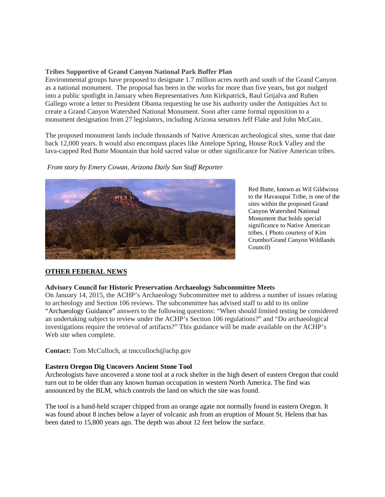### **Tribes Supportive of Grand Canyon National Park Buffer Plan**

Environmental groups have proposed to designate 1.7 million acres north and south of the Grand Canyon as a national monument. The proposal has been in the works for more than five years, but got nudged into a public spotlight in January when Representatives Ann Kirkpatrick, Raul Grijalva and Ruben Gallego wrote a letter to President Obama requesting he use his authority under the Antiquities Act to create a Grand Canyon Watershed National Monument. Soon after came formal opposition to a monument designation from 27 legislators, including Arizona senators Jeff Flake and John McCain.

The proposed monument lands include thousands of Native American archeological sites, some that date back 12,000 years. It would also encompass places like Antelope Spring, House Rock Valley and the lava-capped Red Butte Mountain that hold sacred value or other significance for Native American tribes.

*From story by Emery Cowan, Arizona Daily Sun Staff [Reporter](http://azdailysun.com/search/?l=50&sd=desc&s=start_time&f=html&byline=EMERY%20COWAN%0ASun%20Staff%20Reporter)*



Red Butte, known as Wil Gildwissa to the Havasupai Tribe, is one of the sites within the proposed Grand Canyon Watershed National Monument that holds special significance to Native American tribes. ( Photo courtesy of Kim Crumbo/Grand Canyon Wildlands Council)

# **OTHER FEDERAL NEWS**

#### **Advisory Council for Historic Preservation Archaeology Subcommittee Meets**

On January 14, 2015, the ACHP's Archaeology Subcommittee met to address a number of issues relating to archeology and Section 106 reviews. The subcommittee has advised staff to add to its online "Archaeology Guidance" answers to the following questions: "When should limited testing be considered an undertaking subject to review under the ACHP's Section 106 regulations?" and "Do archaeological investigations require the retrieval of artifacts?" This guidance will be made available on the ACHP's Web site when complete.

**Contact:** Tom McCulloch, at tmcculloch@achp.gov

### **Eastern Oregon Dig Uncovers Ancient Stone Tool**

Archeologists have uncovered a stone tool at a rock shelter in the high desert of eastern Oregon that could turn out to be older than any known human occupation in western North America. The find was announced by the BLM, which controls the land on which the site was found.

The tool is a hand-held scraper chipped from an orange agate not normally found in eastern Oregon. It was found about 8 inches below a layer of volcanic ash from an eruption of Mount St. Helens that has been dated to 15,800 years ago. The depth was about 12 feet below the surface.